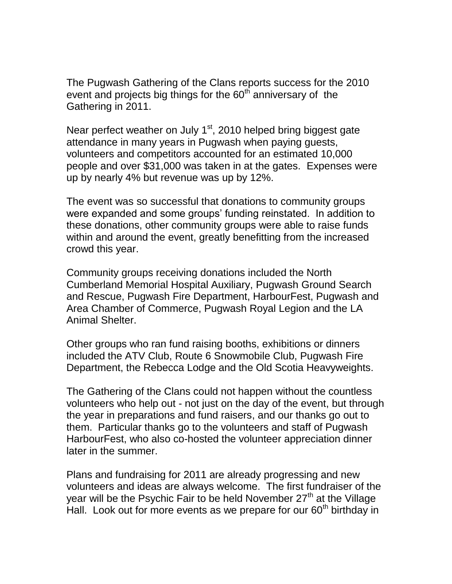The Pugwash Gathering of the Clans reports success for the 2010 event and projects big things for the  $60<sup>th</sup>$  anniversary of the Gathering in 2011.

Near perfect weather on July  $1<sup>st</sup>$ , 2010 helped bring biggest gate attendance in many years in Pugwash when paying guests, volunteers and competitors accounted for an estimated 10,000 people and over \$31,000 was taken in at the gates. Expenses were up by nearly 4% but revenue was up by 12%.

The event was so successful that donations to community groups were expanded and some groups' funding reinstated. In addition to these donations, other community groups were able to raise funds within and around the event, greatly benefitting from the increased crowd this year.

Community groups receiving donations included the North Cumberland Memorial Hospital Auxiliary, Pugwash Ground Search and Rescue, Pugwash Fire Department, HarbourFest, Pugwash and Area Chamber of Commerce, Pugwash Royal Legion and the LA Animal Shelter.

Other groups who ran fund raising booths, exhibitions or dinners included the ATV Club, Route 6 Snowmobile Club, Pugwash Fire Department, the Rebecca Lodge and the Old Scotia Heavyweights.

The Gathering of the Clans could not happen without the countless volunteers who help out - not just on the day of the event, but through the year in preparations and fund raisers, and our thanks go out to them. Particular thanks go to the volunteers and staff of Pugwash HarbourFest, who also co-hosted the volunteer appreciation dinner later in the summer.

Plans and fundraising for 2011 are already progressing and new volunteers and ideas are always welcome. The first fundraiser of the year will be the Psychic Fair to be held November  $27<sup>th</sup>$  at the Village Hall. Look out for more events as we prepare for our  $60<sup>th</sup>$  birthday in